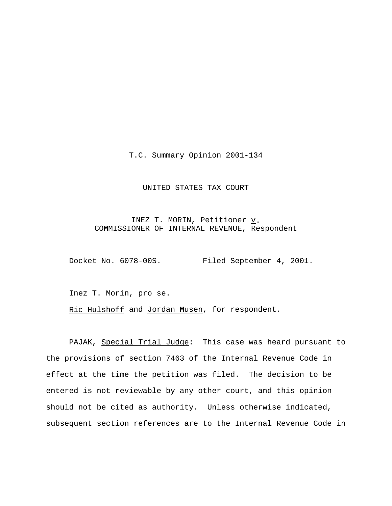T.C. Summary Opinion 2001-134

## UNITED STATES TAX COURT

INEZ T. MORIN, Petitioner  $\underline{v}$ . COMMISSIONER OF INTERNAL REVENUE, Respondent

Docket No. 6078-00S. Filed September 4, 2001.

Inez T. Morin, pro se.

Ric Hulshoff and Jordan Musen, for respondent.

PAJAK, Special Trial Judge: This case was heard pursuant to the provisions of section 7463 of the Internal Revenue Code in effect at the time the petition was filed. The decision to be entered is not reviewable by any other court, and this opinion should not be cited as authority. Unless otherwise indicated, subsequent section references are to the Internal Revenue Code in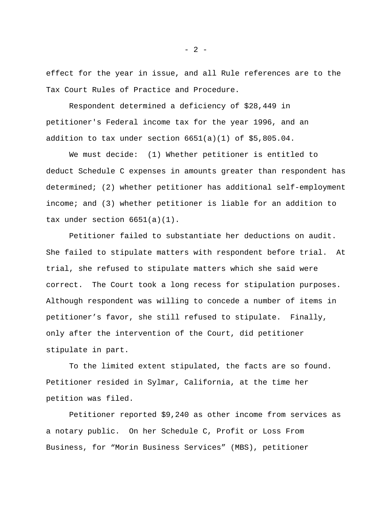effect for the year in issue, and all Rule references are to the Tax Court Rules of Practice and Procedure.

Respondent determined a deficiency of \$28,449 in petitioner's Federal income tax for the year 1996, and an addition to tax under section  $6651(a)(1)$  of \$5,805.04.

We must decide: (1) Whether petitioner is entitled to deduct Schedule C expenses in amounts greater than respondent has determined; (2) whether petitioner has additional self-employment income; and (3) whether petitioner is liable for an addition to tax under section 6651(a)(1).

Petitioner failed to substantiate her deductions on audit. She failed to stipulate matters with respondent before trial. At trial, she refused to stipulate matters which she said were correct. The Court took a long recess for stipulation purposes. Although respondent was willing to concede a number of items in petitioner's favor, she still refused to stipulate. Finally, only after the intervention of the Court, did petitioner stipulate in part.

To the limited extent stipulated, the facts are so found. Petitioner resided in Sylmar, California, at the time her petition was filed.

Petitioner reported \$9,240 as other income from services as a notary public. On her Schedule C, Profit or Loss From Business, for "Morin Business Services" (MBS), petitioner

- 2 -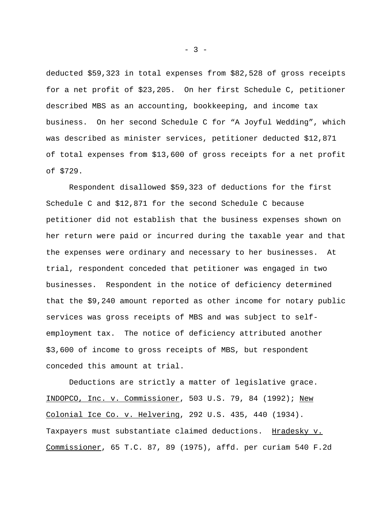deducted \$59,323 in total expenses from \$82,528 of gross receipts for a net profit of \$23,205. On her first Schedule C, petitioner described MBS as an accounting, bookkeeping, and income tax business. On her second Schedule C for "A Joyful Wedding", which was described as minister services, petitioner deducted \$12,871 of total expenses from \$13,600 of gross receipts for a net profit of \$729.

Respondent disallowed \$59,323 of deductions for the first Schedule C and \$12,871 for the second Schedule C because petitioner did not establish that the business expenses shown on her return were paid or incurred during the taxable year and that the expenses were ordinary and necessary to her businesses. At trial, respondent conceded that petitioner was engaged in two businesses. Respondent in the notice of deficiency determined that the \$9,240 amount reported as other income for notary public services was gross receipts of MBS and was subject to selfemployment tax. The notice of deficiency attributed another \$3,600 of income to gross receipts of MBS, but respondent conceded this amount at trial.

Deductions are strictly a matter of legislative grace. INDOPCO, Inc. v. Commissioner, 503 U.S. 79, 84 (1992); New Colonial Ice Co. v. Helvering, 292 U.S. 435, 440 (1934). Taxpayers must substantiate claimed deductions. Hradesky v. Commissioner, 65 T.C. 87, 89 (1975), affd. per curiam 540 F.2d

 $- 3 -$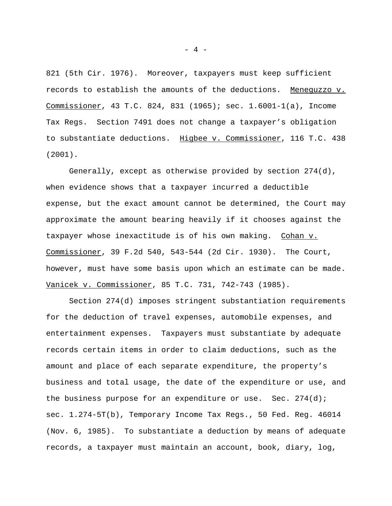821 (5th Cir. 1976). Moreover, taxpayers must keep sufficient records to establish the amounts of the deductions. Meneguzzo v. Commissioner, 43 T.C. 824, 831 (1965); sec. 1.6001-1(a), Income Tax Regs. Section 7491 does not change a taxpayer's obligation to substantiate deductions. Higbee v. Commissioner, 116 T.C. 438 (2001).

Generally, except as otherwise provided by section 274(d), when evidence shows that a taxpayer incurred a deductible expense, but the exact amount cannot be determined, the Court may approximate the amount bearing heavily if it chooses against the taxpayer whose inexactitude is of his own making. Cohan v. Commissioner, 39 F.2d 540, 543-544 (2d Cir. 1930). The Court, however, must have some basis upon which an estimate can be made. Vanicek v. Commissioner, 85 T.C. 731, 742-743 (1985).

Section 274(d) imposes stringent substantiation requirements for the deduction of travel expenses, automobile expenses, and entertainment expenses. Taxpayers must substantiate by adequate records certain items in order to claim deductions, such as the amount and place of each separate expenditure, the property's business and total usage, the date of the expenditure or use, and the business purpose for an expenditure or use. Sec.  $274(d)$ ; sec. 1.274-5T(b), Temporary Income Tax Regs., 50 Fed. Reg. 46014 (Nov. 6, 1985). To substantiate a deduction by means of adequate records, a taxpayer must maintain an account, book, diary, log,

- 4 -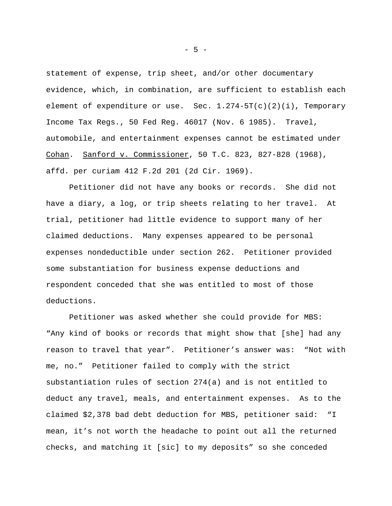statement of expense, trip sheet, and/or other documentary evidence, which, in combination, are sufficient to establish each element of expenditure or use. Sec.  $1.274 - 5T(c)(2)(i)$ , Temporary Income Tax Regs., 50 Fed Reg. 46017 (Nov. 6 1985). Travel, automobile, and entertainment expenses cannot be estimated under Cohan. Sanford v. Commissioner, 50 T.C. 823, 827-828 (1968), affd. per curiam 412 F.2d 201 (2d Cir. 1969).

Petitioner did not have any books or records. She did not have a diary, a log, or trip sheets relating to her travel. At trial, petitioner had little evidence to support many of her claimed deductions. Many expenses appeared to be personal expenses nondeductible under section 262. Petitioner provided some substantiation for business expense deductions and respondent conceded that she was entitled to most of those deductions.

Petitioner was asked whether she could provide for MBS: "Any kind of books or records that might show that [she] had any reason to travel that year". Petitioner's answer was: "Not with me, no." Petitioner failed to comply with the strict substantiation rules of section 274(a) and is not entitled to deduct any travel, meals, and entertainment expenses. As to the claimed \$2,378 bad debt deduction for MBS, petitioner said: "I mean, it's not worth the headache to point out all the returned checks, and matching it [sic] to my deposits" so she conceded

- 5 -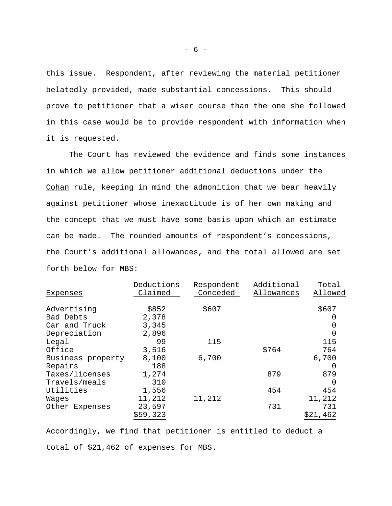this issue. Respondent, after reviewing the material petitioner belatedly provided, made substantial concessions. This should prove to petitioner that a wiser course than the one she followed in this case would be to provide respondent with information when it is requested.

The Court has reviewed the evidence and finds some instances in which we allow petitioner additional deductions under the Cohan rule, keeping in mind the admonition that we bear heavily against petitioner whose inexactitude is of her own making and the concept that we must have some basis upon which an estimate can be made. The rounded amounts of respondent's concessions, the Court's additional allowances, and the total allowed are set forth below for MBS:

|                   | Deductions | Respondent | Additional | Total            |
|-------------------|------------|------------|------------|------------------|
| Expenses          | Claimed    | Conceded   | Allowances | Allowed          |
| Advertising       | \$852      | \$607      |            | \$607            |
| Bad Debts         | 2,378      |            |            |                  |
| Car and Truck     | 3,345      |            |            |                  |
| Depreciation      | 2,896      |            |            | 0                |
| Legal             | 99         | 115        |            | 115              |
| Office            | 3,516      |            | \$764      | 764              |
| Business property | 8,100      | 6,700      |            | 6,700            |
| Repairs           | 188        |            |            | $\left( \right)$ |
| Taxes/licenses    | 1,274      |            | 879        | 879              |
| Travels/meals     | 310        |            |            | <sup>0</sup>     |
| Utilities         | 1,556      |            | 454        | 454              |
| Wages             | 11,212     | 11,212     |            | 11,212           |
| Other Expenses    | 23,597     |            | 731        | 731              |
|                   | \$59,323   |            |            | \$21,462         |

Accordingly, we find that petitioner is entitled to deduct a total of \$21,462 of expenses for MBS.

- 6 -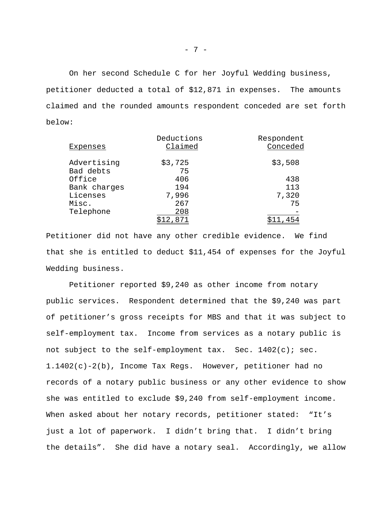On her second Schedule C for her Joyful Wedding business, petitioner deducted a total of \$12,871 in expenses. The amounts claimed and the rounded amounts respondent conceded are set forth below:

| Expenses     | Deductions<br>Claimed | Respondent<br>Conceded |
|--------------|-----------------------|------------------------|
| Advertising  | \$3,725               | \$3,508                |
| Bad debts    | 75                    |                        |
| Office       | 406                   | 438                    |
| Bank charges | 194                   | 113                    |
| Licenses     | 7,996                 | 7,320                  |
| Misc.        | 267                   | 75                     |
| Telephone    | 208                   |                        |
|              | 871                   |                        |

Petitioner did not have any other credible evidence. We find that she is entitled to deduct \$11,454 of expenses for the Joyful Wedding business.

Petitioner reported \$9,240 as other income from notary public services. Respondent determined that the \$9,240 was part of petitioner's gross receipts for MBS and that it was subject to self-employment tax. Income from services as a notary public is not subject to the self-employment tax. Sec.  $1402(c)$ ; sec. 1.1402(c)-2(b), Income Tax Regs. However, petitioner had no records of a notary public business or any other evidence to show she was entitled to exclude \$9,240 from self-employment income. When asked about her notary records, petitioner stated: "It's just a lot of paperwork. I didn't bring that. I didn't bring the details". She did have a notary seal. Accordingly, we allow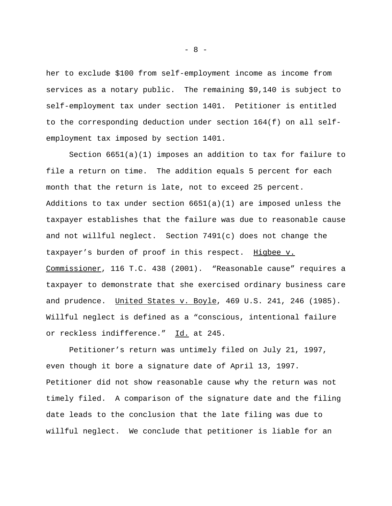her to exclude \$100 from self-employment income as income from services as a notary public. The remaining \$9,140 is subject to self-employment tax under section 1401. Petitioner is entitled to the corresponding deduction under section 164(f) on all selfemployment tax imposed by section 1401.

Section 6651(a)(1) imposes an addition to tax for failure to file a return on time. The addition equals 5 percent for each month that the return is late, not to exceed 25 percent. Additions to tax under section  $6651(a)(1)$  are imposed unless the taxpayer establishes that the failure was due to reasonable cause and not willful neglect. Section 7491(c) does not change the taxpayer's burden of proof in this respect. Higbee v. Commissioner, 116 T.C. 438 (2001). "Reasonable cause" requires a taxpayer to demonstrate that she exercised ordinary business care and prudence. United States v. Boyle, 469 U.S. 241, 246 (1985). Willful neglect is defined as a "conscious, intentional failure or reckless indifference." Id. at 245.

Petitioner's return was untimely filed on July 21, 1997, even though it bore a signature date of April 13, 1997. Petitioner did not show reasonable cause why the return was not timely filed. A comparison of the signature date and the filing date leads to the conclusion that the late filing was due to willful neglect. We conclude that petitioner is liable for an

- 8 -